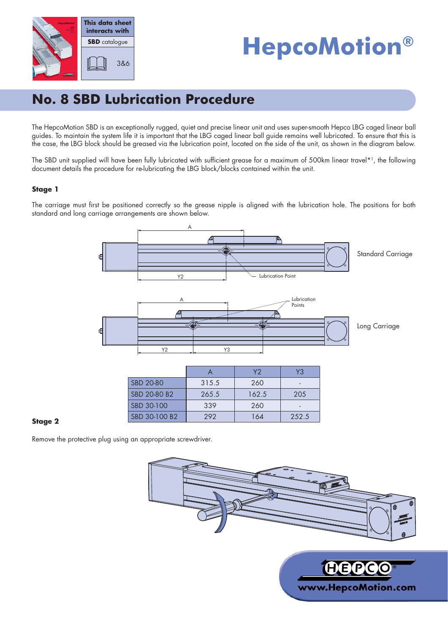

# **HepcoMotion®**

# **No. 8 SBD Lubrication Procedure**

The HepcoMotion SBD is an exceptionally rugged, quiet and precise linear unit and uses super-smooth Hepco LBG caged linear ball guides. To maintain the system life it is important that the LBG caged linear ball guide remains well lubricated. To ensure that this is the case, the LBG block should be greased via the lubrication point, located on the side of the unit, as shown in the diagram below.

The SBD unit supplied will have been fully lubricated with sufficient grease for a maximum of 500km linear travel\*1, the following document details the procedure for re-lubricating the LBG block/blocks contained within the unit.

### **Stage 1**

The carriage must first be positioned correctly so the grease nipple is aligned with the lubrication hole. The positions for both standard and long carriage arrangements are shown below.





|               |       | ۷2    | Y3    |
|---------------|-------|-------|-------|
| SBD 20-80     | 315.5 | 260   |       |
| SBD 20-80 B2  | 265.5 | 162.5 | 205   |
| SBD 30-100    | 339   | 260   |       |
| SBD 30-100 B2 | 292   | 164   | 252.5 |

### **Stage 2**

Remove the protective plug using an appropriate screwdriver.